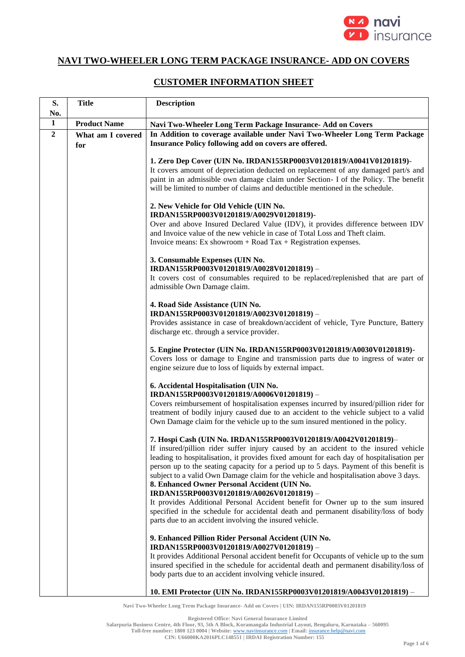

## **NAVI TWO-WHEELER LONG TERM PACKAGE INSURANCE- ADD ON COVERS**

## **CUSTOMER INFORMATION SHEET**

| S.                  | <b>Title</b>        | <b>Description</b>                                                                                                                                                                                                                                                                                                                                                                                                                                                                                                                 |
|---------------------|---------------------|------------------------------------------------------------------------------------------------------------------------------------------------------------------------------------------------------------------------------------------------------------------------------------------------------------------------------------------------------------------------------------------------------------------------------------------------------------------------------------------------------------------------------------|
| No.<br>$\mathbf{1}$ | <b>Product Name</b> | Navi Two-Wheeler Long Term Package Insurance- Add on Covers                                                                                                                                                                                                                                                                                                                                                                                                                                                                        |
| $\overline{2}$      | What am I covered   | In Addition to coverage available under Navi Two-Wheeler Long Term Package                                                                                                                                                                                                                                                                                                                                                                                                                                                         |
|                     | for                 | Insurance Policy following add on covers are offered.                                                                                                                                                                                                                                                                                                                                                                                                                                                                              |
|                     |                     | 1. Zero Dep Cover (UIN No. IRDAN155RP0003V01201819/A0041V01201819)-<br>It covers amount of depreciation deducted on replacement of any damaged part/s and<br>paint in an admissible own damage claim under Section- I of the Policy. The benefit                                                                                                                                                                                                                                                                                   |
|                     |                     | will be limited to number of claims and deductible mentioned in the schedule.                                                                                                                                                                                                                                                                                                                                                                                                                                                      |
|                     |                     | 2. New Vehicle for Old Vehicle (UIN No.<br>IRDAN155RP0003V01201819/A0029V01201819)-<br>Over and above Insured Declared Value (IDV), it provides difference between IDV<br>and Invoice value of the new vehicle in case of Total Loss and Theft claim.<br>Invoice means: Ex showroom $+$ Road Tax $+$ Registration expenses.                                                                                                                                                                                                        |
|                     |                     | 3. Consumable Expenses (UIN No.<br>IRDAN155RP0003V01201819/A0028V01201819)-<br>It covers cost of consumables required to be replaced/replenished that are part of                                                                                                                                                                                                                                                                                                                                                                  |
|                     |                     | admissible Own Damage claim.                                                                                                                                                                                                                                                                                                                                                                                                                                                                                                       |
|                     |                     | 4. Road Side Assistance (UIN No.<br>IRDAN155RP0003V01201819/A0023V01201819)-                                                                                                                                                                                                                                                                                                                                                                                                                                                       |
|                     |                     | Provides assistance in case of breakdown/accident of vehicle, Tyre Puncture, Battery<br>discharge etc. through a service provider.                                                                                                                                                                                                                                                                                                                                                                                                 |
|                     |                     | 5. Engine Protector (UIN No. IRDAN155RP0003V01201819/A0030V01201819)-<br>Covers loss or damage to Engine and transmission parts due to ingress of water or<br>engine seizure due to loss of liquids by external impact.                                                                                                                                                                                                                                                                                                            |
|                     |                     | 6. Accidental Hospitalisation (UIN No.<br>IRDAN155RP0003V01201819/A0006V01201819)-                                                                                                                                                                                                                                                                                                                                                                                                                                                 |
|                     |                     | Covers reimbursement of hospitalisation expenses incurred by insured/pillion rider for<br>treatment of bodily injury caused due to an accident to the vehicle subject to a valid<br>Own Damage claim for the vehicle up to the sum insured mentioned in the policy.                                                                                                                                                                                                                                                                |
|                     |                     | 7. Hospi Cash (UIN No. IRDAN155RP0003V01201819/A0042V01201819)-<br>If insured/pillion rider suffer injury caused by an accident to the insured vehicle<br>leading to hospitalisation, it provides fixed amount for each day of hospitalisation per<br>person up to the seating capacity for a period up to 5 days. Payment of this benefit is<br>subject to a valid Own Damage claim for the vehicle and hospitalisation above 3 days.<br>8. Enhanced Owner Personal Accident (UIN No.<br>IRDAN155RP0003V01201819/A0026V01201819)- |
|                     |                     | It provides Additional Personal Accident benefit for Owner up to the sum insured<br>specified in the schedule for accidental death and permanent disability/loss of body<br>parts due to an accident involving the insured vehicle.                                                                                                                                                                                                                                                                                                |
|                     |                     | 9. Enhanced Pillion Rider Personal Accident (UIN No.<br>IRDAN155RP0003V01201819/A0027V01201819)-                                                                                                                                                                                                                                                                                                                                                                                                                                   |
|                     |                     | It provides Additional Personal accident benefit for Occupants of vehicle up to the sum<br>insured specified in the schedule for accidental death and permanent disability/loss of<br>body parts due to an accident involving vehicle insured.                                                                                                                                                                                                                                                                                     |
|                     |                     | 10. EMI Protector (UIN No. IRDAN155RP0003V01201819/A0043V01201819) -                                                                                                                                                                                                                                                                                                                                                                                                                                                               |

**Navi Two-Wheeler Long Term Package Insurance- Add on Covers | UIN: IRDAN155RP0003V01201819**

**Registered Office: Navi General Insurance Limited**

**Salarpuria Business Centre, 4th Floor, 93, 5th A Block, Koramangala Industrial Layout, Bengaluru, Karnataka – 560095 Toll-free number: 1800 123 0004 | Website:** [www.naviinsurance.com](http://www.naviinsurance.com/) **| Email:** [insurance.help@navi.com](mailto:insurance.help@navi.com)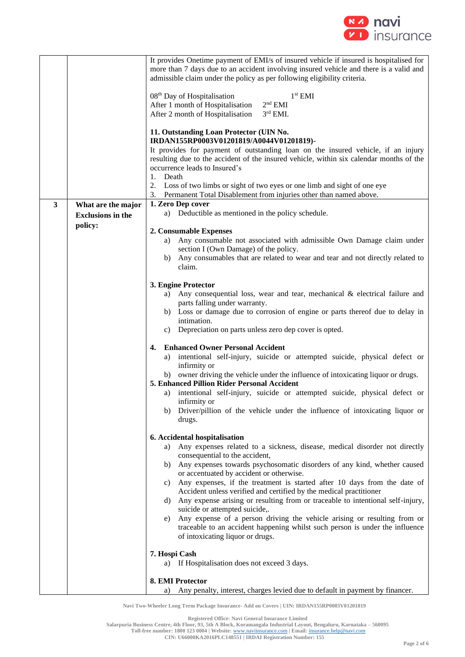

|   |                          | It provides Onetime payment of EMI/s of insured vehicle if insured is hospitalised for<br>more than 7 days due to an accident involving insured vehicle and there is a valid and<br>admissible claim under the policy as per following eligibility criteria. |
|---|--------------------------|--------------------------------------------------------------------------------------------------------------------------------------------------------------------------------------------------------------------------------------------------------------|
|   |                          | 08 <sup>th</sup> Day of Hospitalisation<br>$1st$ EMI                                                                                                                                                                                                         |
|   |                          | $2nd$ EMI<br>After 1 month of Hospitalisation                                                                                                                                                                                                                |
|   |                          | 3rd EMI.<br>After 2 month of Hospitalisation                                                                                                                                                                                                                 |
|   |                          | 11. Outstanding Loan Protector (UIN No.                                                                                                                                                                                                                      |
|   |                          | IRDAN155RP0003V01201819/A0044V01201819)-                                                                                                                                                                                                                     |
|   |                          | It provides for payment of outstanding loan on the insured vehicle, if an injury<br>resulting due to the accident of the insured vehicle, within six calendar months of the<br>occurrence leads to Insured's                                                 |
|   |                          | 1. Death                                                                                                                                                                                                                                                     |
|   |                          | 2. Loss of two limbs or sight of two eyes or one limb and sight of one eye                                                                                                                                                                                   |
|   |                          | Permanent Total Disablement from injuries other than named above.<br>3.                                                                                                                                                                                      |
| 3 | What are the major       | 1. Zero Dep cover                                                                                                                                                                                                                                            |
|   | <b>Exclusions in the</b> | a) Deductible as mentioned in the policy schedule.                                                                                                                                                                                                           |
|   | policy:                  |                                                                                                                                                                                                                                                              |
|   |                          | 2. Consumable Expenses                                                                                                                                                                                                                                       |
|   |                          | Any consumable not associated with admissible Own Damage claim under<br>a)<br>section I (Own Damage) of the policy.                                                                                                                                          |
|   |                          | Any consumables that are related to wear and tear and not directly related to<br>b)<br>claim.                                                                                                                                                                |
|   |                          |                                                                                                                                                                                                                                                              |
|   |                          | 3. Engine Protector                                                                                                                                                                                                                                          |
|   |                          | Any consequential loss, wear and tear, mechanical $\&$ electrical failure and<br>a)                                                                                                                                                                          |
|   |                          | parts falling under warranty.<br>b) Loss or damage due to corrosion of engine or parts thereof due to delay in                                                                                                                                               |
|   |                          | intimation.                                                                                                                                                                                                                                                  |
|   |                          | Depreciation on parts unless zero dep cover is opted.<br>C)                                                                                                                                                                                                  |
|   |                          |                                                                                                                                                                                                                                                              |
|   |                          | <b>Enhanced Owner Personal Accident</b><br>4.<br>intentional self-injury, suicide or attempted suicide, physical defect or<br>a)                                                                                                                             |
|   |                          | infirmity or                                                                                                                                                                                                                                                 |
|   |                          | b) owner driving the vehicle under the influence of intoxicating liquor or drugs.<br>5. Enhanced Pillion Rider Personal Accident                                                                                                                             |
|   |                          | a) intentional self-injury, suicide or attempted suicide, physical defect or                                                                                                                                                                                 |
|   |                          | infirmity or<br>Driver/pillion of the vehicle under the influence of intoxicating liquor or<br>b)                                                                                                                                                            |
|   |                          | drugs.                                                                                                                                                                                                                                                       |
|   |                          | 6. Accidental hospitalisation                                                                                                                                                                                                                                |
|   |                          | Any expenses related to a sickness, disease, medical disorder not directly<br>a)<br>consequential to the accident,                                                                                                                                           |
|   |                          | Any expenses towards psychosomatic disorders of any kind, whether caused<br>b)                                                                                                                                                                               |
|   |                          | or accentuated by accident or otherwise.<br>Any expenses, if the treatment is started after 10 days from the date of<br>C)                                                                                                                                   |
|   |                          | Accident unless verified and certified by the medical practitioner                                                                                                                                                                                           |
|   |                          | Any expense arising or resulting from or traceable to intentional self-injury,<br>d)<br>suicide or attempted suicide,.                                                                                                                                       |
|   |                          | Any expense of a person driving the vehicle arising or resulting from or<br>e)                                                                                                                                                                               |
|   |                          | traceable to an accident happening whilst such person is under the influence                                                                                                                                                                                 |
|   |                          | of intoxicating liquor or drugs.                                                                                                                                                                                                                             |
|   |                          | 7. Hospi Cash                                                                                                                                                                                                                                                |
|   |                          | If Hospitalisation does not exceed 3 days.<br>a)                                                                                                                                                                                                             |
|   |                          |                                                                                                                                                                                                                                                              |
|   |                          | 8. EMI Protector                                                                                                                                                                                                                                             |
|   |                          | Any penalty, interest, charges levied due to default in payment by financer.<br>a)                                                                                                                                                                           |

**Registered Office: Navi General Insurance Limited**

**Salarpuria Business Centre, 4th Floor, 93, 5th A Block, Koramangala Industrial Layout, Bengaluru, Karnataka – 560095 Toll-free number: 1800 123 0004 | Website:** [www.naviinsurance.com](http://www.naviinsurance.com/) **| Email:** [insurance.help@navi.com](mailto:insurance.help@navi.com)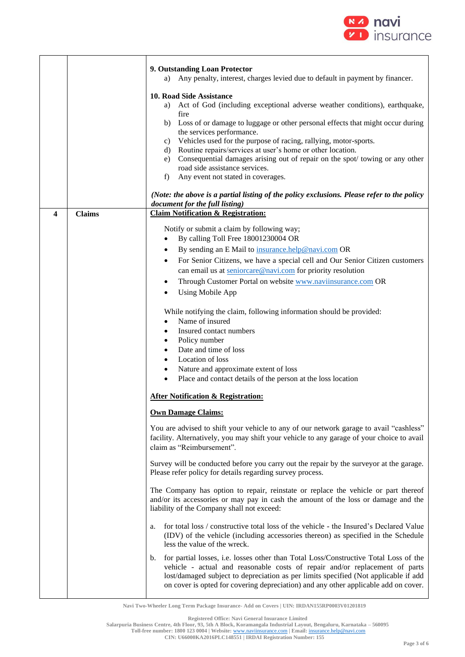

|                         |               | 9. Outstanding Loan Protector                                                                                                                                              |
|-------------------------|---------------|----------------------------------------------------------------------------------------------------------------------------------------------------------------------------|
|                         |               | Any penalty, interest, charges levied due to default in payment by financer.<br>a)                                                                                         |
|                         |               | 10. Road Side Assistance                                                                                                                                                   |
|                         |               | Act of God (including exceptional adverse weather conditions), earthquake,<br>a)                                                                                           |
|                         |               | fire                                                                                                                                                                       |
|                         |               | b) Loss of or damage to luggage or other personal effects that might occur during                                                                                          |
|                         |               | the services performance.                                                                                                                                                  |
|                         |               | c) Vehicles used for the purpose of racing, rallying, motor-sports.<br>d) Routine repairs/services at user's home or other location.                                       |
|                         |               | e) Consequential damages arising out of repair on the spot/towing or any other                                                                                             |
|                         |               | road side assistance services.                                                                                                                                             |
|                         |               | Any event not stated in coverages.<br>f                                                                                                                                    |
|                         |               |                                                                                                                                                                            |
|                         |               | (Note: the above is a partial listing of the policy exclusions. Please refer to the policy                                                                                 |
|                         |               | document for the full listing)                                                                                                                                             |
| $\overline{\mathbf{4}}$ | <b>Claims</b> | <b>Claim Notification &amp; Registration:</b>                                                                                                                              |
|                         |               | Notify or submit a claim by following way;                                                                                                                                 |
|                         |               | By calling Toll Free 18001230004 OR                                                                                                                                        |
|                         |               | By sending an E Mail to insurance.help@navi.com OR<br>٠                                                                                                                    |
|                         |               | For Senior Citizens, we have a special cell and Our Senior Citizen customers                                                                                               |
|                         |               | can email us at seniorcare@navi.com for priority resolution                                                                                                                |
|                         |               | Through Customer Portal on website www.naviinsurance.com OR<br>٠                                                                                                           |
|                         |               | Using Mobile App<br>٠                                                                                                                                                      |
|                         |               |                                                                                                                                                                            |
|                         |               | While notifying the claim, following information should be provided:                                                                                                       |
|                         |               | Name of insured<br>$\bullet$                                                                                                                                               |
|                         |               | Insured contact numbers<br>$\bullet$<br>Policy number<br>٠                                                                                                                 |
|                         |               | Date and time of loss<br>$\bullet$                                                                                                                                         |
|                         |               | Location of loss<br>٠                                                                                                                                                      |
|                         |               | Nature and approximate extent of loss<br>٠                                                                                                                                 |
|                         |               | Place and contact details of the person at the loss location                                                                                                               |
|                         |               |                                                                                                                                                                            |
|                         |               | <b>After Notification &amp; Registration:</b>                                                                                                                              |
|                         |               | <b>Own Damage Claims:</b>                                                                                                                                                  |
|                         |               |                                                                                                                                                                            |
|                         |               | You are advised to shift your vehicle to any of our network garage to avail "cashless"                                                                                     |
|                         |               | facility. Alternatively, you may shift your vehicle to any garage of your choice to avail<br>claim as "Reimbursement".                                                     |
|                         |               |                                                                                                                                                                            |
|                         |               | Survey will be conducted before you carry out the repair by the surveyor at the garage.                                                                                    |
|                         |               | Please refer policy for details regarding survey process.                                                                                                                  |
|                         |               |                                                                                                                                                                            |
|                         |               | The Company has option to repair, reinstate or replace the vehicle or part thereof<br>and/or its accessories or may pay in cash the amount of the loss or damage and the   |
|                         |               | liability of the Company shall not exceed:                                                                                                                                 |
|                         |               |                                                                                                                                                                            |
|                         |               | for total loss / constructive total loss of the vehicle - the Insured's Declared Value<br>a.                                                                               |
|                         |               | (IDV) of the vehicle (including accessories thereon) as specified in the Schedule                                                                                          |
|                         |               | less the value of the wreck.                                                                                                                                               |
|                         |               | for partial losses, i.e. losses other than Total Loss/Constructive Total Loss of the<br>b.                                                                                 |
|                         |               | vehicle - actual and reasonable costs of repair and/or replacement of parts                                                                                                |
|                         |               | lost/damaged subject to depreciation as per limits specified (Not applicable if add<br>on cover is opted for covering depreciation) and any other applicable add on cover. |
|                         |               |                                                                                                                                                                            |

**Registered Office: Navi General Insurance Limited**

**Salarpuria Business Centre, 4th Floor, 93, 5th A Block, Koramangala Industrial Layout, Bengaluru, Karnataka – 560095 Toll-free number: 1800 123 0004 | Website:** [www.naviinsurance.com](http://www.naviinsurance.com/) **| Email:** [insurance.help@navi.com](mailto:insurance.help@navi.com)

**CIN: U66000KA2016PLC148551 | IRDAI Registration Number: 155**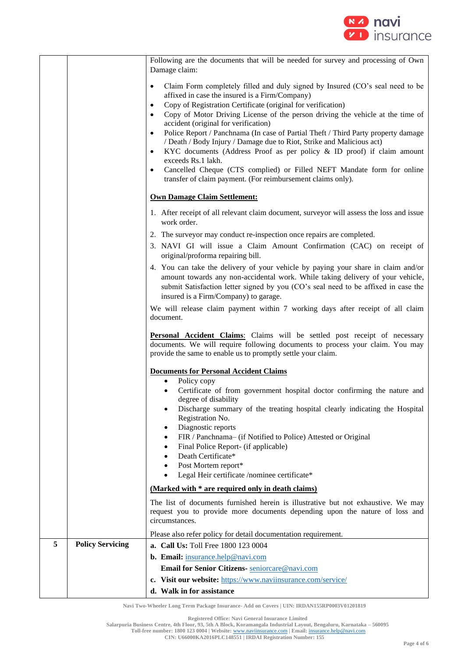

|   |                         | Following are the documents that will be needed for survey and processing of Own<br>Damage claim:                                                                                                                                                                                                                                                                                                                                                                                                                                                                                                                                                                                                                                                                      |
|---|-------------------------|------------------------------------------------------------------------------------------------------------------------------------------------------------------------------------------------------------------------------------------------------------------------------------------------------------------------------------------------------------------------------------------------------------------------------------------------------------------------------------------------------------------------------------------------------------------------------------------------------------------------------------------------------------------------------------------------------------------------------------------------------------------------|
|   |                         | Claim Form completely filled and duly signed by Insured (CO's seal need to be<br>٠<br>affixed in case the insured is a Firm/Company)<br>Copy of Registration Certificate (original for verification)<br>٠<br>Copy of Motor Driving License of the person driving the vehicle at the time of<br>٠<br>accident (original for verification)<br>Police Report / Panchnama (In case of Partial Theft / Third Party property damage<br>$\bullet$<br>/ Death / Body Injury / Damage due to Riot, Strike and Malicious act)<br>KYC documents (Address Proof as per policy & ID proof) if claim amount<br>٠<br>exceeds Rs.1 lakh.<br>Cancelled Cheque (CTS complied) or Filled NEFT Mandate form for online<br>٠<br>transfer of claim payment. (For reimbursement claims only). |
|   |                         | <b>Own Damage Claim Settlement:</b>                                                                                                                                                                                                                                                                                                                                                                                                                                                                                                                                                                                                                                                                                                                                    |
|   |                         | 1. After receipt of all relevant claim document, surveyor will assess the loss and issue<br>work order.                                                                                                                                                                                                                                                                                                                                                                                                                                                                                                                                                                                                                                                                |
|   |                         | 2. The surveyor may conduct re-inspection once repairs are completed.                                                                                                                                                                                                                                                                                                                                                                                                                                                                                                                                                                                                                                                                                                  |
|   |                         | 3. NAVI GI will issue a Claim Amount Confirmation (CAC) on receipt of<br>original/proforma repairing bill.                                                                                                                                                                                                                                                                                                                                                                                                                                                                                                                                                                                                                                                             |
|   |                         | 4. You can take the delivery of your vehicle by paying your share in claim and/or<br>amount towards any non-accidental work. While taking delivery of your vehicle,<br>submit Satisfaction letter signed by you (CO's seal need to be affixed in case the<br>insured is a Firm/Company) to garage.                                                                                                                                                                                                                                                                                                                                                                                                                                                                     |
|   |                         | We will release claim payment within 7 working days after receipt of all claim<br>document.                                                                                                                                                                                                                                                                                                                                                                                                                                                                                                                                                                                                                                                                            |
|   |                         | Personal Accident Claims: Claims will be settled post receipt of necessary<br>documents. We will require following documents to process your claim. You may<br>provide the same to enable us to promptly settle your claim.                                                                                                                                                                                                                                                                                                                                                                                                                                                                                                                                            |
|   |                         | <b>Documents for Personal Accident Claims</b><br>Policy copy<br>$\bullet$<br>Certificate of from government hospital doctor confirming the nature and<br>degree of disability<br>Discharge summary of the treating hospital clearly indicating the Hospital<br>Registration No.<br>Diagnostic reports<br>٠<br>FIR / Panchnama- (if Notified to Police) Attested or Original<br>Final Police Report- (if applicable)<br>٠<br>Death Certificate*<br>٠<br>Post Mortem report*<br>٠<br>Legal Heir certificate /nominee certificate*<br>$\bullet$                                                                                                                                                                                                                           |
|   |                         | (Marked with * are required only in death claims)                                                                                                                                                                                                                                                                                                                                                                                                                                                                                                                                                                                                                                                                                                                      |
|   |                         | The list of documents furnished herein is illustrative but not exhaustive. We may<br>request you to provide more documents depending upon the nature of loss and<br>circumstances.                                                                                                                                                                                                                                                                                                                                                                                                                                                                                                                                                                                     |
| 5 | <b>Policy Servicing</b> | Please also refer policy for detail documentation requirement.                                                                                                                                                                                                                                                                                                                                                                                                                                                                                                                                                                                                                                                                                                         |
|   |                         | <b>a. Call Us:</b> Toll Free 1800 123 0004<br><b>b.</b> Email: insurance.help@navi.com                                                                                                                                                                                                                                                                                                                                                                                                                                                                                                                                                                                                                                                                                 |
|   |                         | Email for Senior Citizens- seniorcare@navi.com                                                                                                                                                                                                                                                                                                                                                                                                                                                                                                                                                                                                                                                                                                                         |
|   |                         | c. Visit our website: https://www.naviinsurance.com/service/                                                                                                                                                                                                                                                                                                                                                                                                                                                                                                                                                                                                                                                                                                           |
|   |                         | d. Walk in for assistance                                                                                                                                                                                                                                                                                                                                                                                                                                                                                                                                                                                                                                                                                                                                              |

**Registered Office: Navi General Insurance Limited**

**Salarpuria Business Centre, 4th Floor, 93, 5th A Block, Koramangala Industrial Layout, Bengaluru, Karnataka – 560095 Toll-free number: 1800 123 0004 | Website:** [www.naviinsurance.com](http://www.naviinsurance.com/) **| Email:** [insurance.help@navi.com](mailto:insurance.help@navi.com)

**CIN: U66000KA2016PLC148551 | IRDAI Registration Number: 155**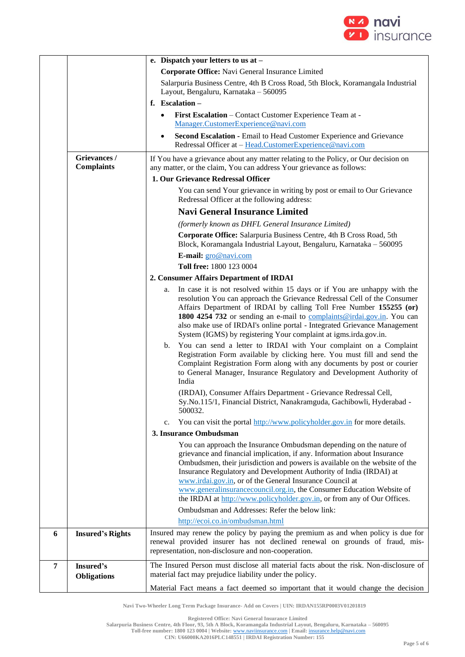

|   |                                 | e. Dispatch your letters to us at $-$                                                                                                                                                                                                                                                                                                                                                                                                                                                                                 |
|---|---------------------------------|-----------------------------------------------------------------------------------------------------------------------------------------------------------------------------------------------------------------------------------------------------------------------------------------------------------------------------------------------------------------------------------------------------------------------------------------------------------------------------------------------------------------------|
|   |                                 | Corporate Office: Navi General Insurance Limited                                                                                                                                                                                                                                                                                                                                                                                                                                                                      |
|   |                                 | Salarpuria Business Centre, 4th B Cross Road, 5th Block, Koramangala Industrial<br>Layout, Bengaluru, Karnataka - 560095                                                                                                                                                                                                                                                                                                                                                                                              |
|   |                                 | f. Escalation -                                                                                                                                                                                                                                                                                                                                                                                                                                                                                                       |
|   |                                 | First Escalation - Contact Customer Experience Team at -<br>٠                                                                                                                                                                                                                                                                                                                                                                                                                                                         |
|   |                                 | Manager.CustomerExperience@navi.com                                                                                                                                                                                                                                                                                                                                                                                                                                                                                   |
|   |                                 | Second Escalation - Email to Head Customer Experience and Grievance<br>٠<br>Redressal Officer at - Head.CustomerExperience@navi.com                                                                                                                                                                                                                                                                                                                                                                                   |
|   | Grievances /                    | If You have a grievance about any matter relating to the Policy, or Our decision on                                                                                                                                                                                                                                                                                                                                                                                                                                   |
|   | <b>Complaints</b>               | any matter, or the claim, You can address Your grievance as follows:                                                                                                                                                                                                                                                                                                                                                                                                                                                  |
|   |                                 | 1. Our Grievance Redressal Officer                                                                                                                                                                                                                                                                                                                                                                                                                                                                                    |
|   |                                 | You can send Your grievance in writing by post or email to Our Grievance<br>Redressal Officer at the following address:                                                                                                                                                                                                                                                                                                                                                                                               |
|   |                                 | <b>Navi General Insurance Limited</b>                                                                                                                                                                                                                                                                                                                                                                                                                                                                                 |
|   |                                 | (formerly known as DHFL General Insurance Limited)                                                                                                                                                                                                                                                                                                                                                                                                                                                                    |
|   |                                 | Corporate Office: Salarpuria Business Centre, 4th B Cross Road, 5th<br>Block, Koramangala Industrial Layout, Bengaluru, Karnataka - 560095                                                                                                                                                                                                                                                                                                                                                                            |
|   |                                 | E-mail: gro@navi.com                                                                                                                                                                                                                                                                                                                                                                                                                                                                                                  |
|   |                                 | Toll free: 1800 123 0004                                                                                                                                                                                                                                                                                                                                                                                                                                                                                              |
|   |                                 | 2. Consumer Affairs Department of IRDAI                                                                                                                                                                                                                                                                                                                                                                                                                                                                               |
|   |                                 | In case it is not resolved within 15 days or if You are unhappy with the<br>a.<br>resolution You can approach the Grievance Redressal Cell of the Consumer<br>Affairs Department of IRDAI by calling Toll Free Number 155255 (or)<br>1800 4254 732 or sending an e-mail to complaints@irdai.gov.in. You can<br>also make use of IRDAI's online portal - Integrated Grievance Management<br>System (IGMS) by registering Your complaint at igms.irda.gov.in.                                                           |
|   |                                 | b. You can send a letter to IRDAI with Your complaint on a Complaint<br>Registration Form available by clicking here. You must fill and send the<br>Complaint Registration Form along with any documents by post or courier<br>to General Manager, Insurance Regulatory and Development Authority of<br>India                                                                                                                                                                                                         |
|   |                                 | (IRDAI), Consumer Affairs Department - Grievance Redressal Cell,<br>Sy.No.115/1, Financial District, Nanakramguda, Gachibowli, Hyderabad -<br>500032.                                                                                                                                                                                                                                                                                                                                                                 |
|   |                                 | You can visit the portal http://www.policyholder.gov.in for more details.<br>c.                                                                                                                                                                                                                                                                                                                                                                                                                                       |
|   |                                 | 3. Insurance Ombudsman                                                                                                                                                                                                                                                                                                                                                                                                                                                                                                |
|   |                                 | You can approach the Insurance Ombudsman depending on the nature of<br>grievance and financial implication, if any. Information about Insurance<br>Ombudsmen, their jurisdiction and powers is available on the website of the<br>Insurance Regulatory and Development Authority of India (IRDAI) at<br>www.irdai.gov.in, or of the General Insurance Council at<br>www.generalinsurancecouncil.org.in, the Consumer Education Website of<br>the IRDAI at http://www.policyholder.gov.in, or from any of Our Offices. |
|   |                                 | Ombudsman and Addresses: Refer the below link:                                                                                                                                                                                                                                                                                                                                                                                                                                                                        |
|   |                                 | http://ecoi.co.in/ombudsman.html                                                                                                                                                                                                                                                                                                                                                                                                                                                                                      |
| 6 | <b>Insured's Rights</b>         | Insured may renew the policy by paying the premium as and when policy is due for<br>renewal provided insurer has not declined renewal on grounds of fraud, mis-<br>representation, non-disclosure and non-cooperation.                                                                                                                                                                                                                                                                                                |
| 7 | Insured's<br><b>Obligations</b> | The Insured Person must disclose all material facts about the risk. Non-disclosure of<br>material fact may prejudice liability under the policy.                                                                                                                                                                                                                                                                                                                                                                      |
|   |                                 | Material Fact means a fact deemed so important that it would change the decision                                                                                                                                                                                                                                                                                                                                                                                                                                      |

**Registered Office: Navi General Insurance Limited**

**Salarpuria Business Centre, 4th Floor, 93, 5th A Block, Koramangala Industrial Layout, Bengaluru, Karnataka – 560095 Toll-free number: 1800 123 0004 | Website:** [www.naviinsurance.com](http://www.naviinsurance.com/) **| Email:** [insurance.help@navi.com](mailto:insurance.help@navi.com)

**CIN: U66000KA2016PLC148551 | IRDAI Registration Number: 155**